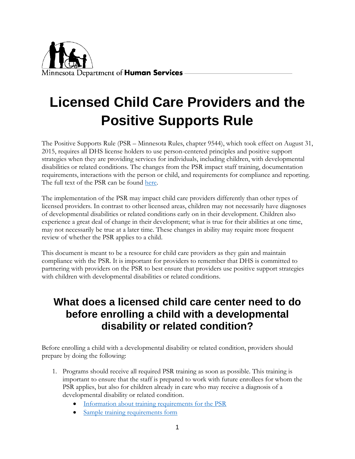

# **Licensed Child Care Providers and the Positive Supports Rule**

The Positive Supports Rule (PSR – Minnesota Rules, chapter 9544), which took effect on August 31, 2015, requires all DHS license holders to use person-centered principles and positive support strategies when they are providing services for individuals, including children, with developmental disabilities or related conditions. The changes from the PSR impact staff training, documentation requirements, interactions with the person or child, and requirements for compliance and reporting. The full text of the PSR can be found [here.](https://www.revisor.mn.gov/rules/?id=9544&version=2015-08-31T14:11:26-05:00&format=pdf)

The implementation of the PSR may impact child care providers differently than other types of licensed providers. In contrast to other licensed areas, children may not necessarily have diagnoses of developmental disabilities or related conditions early on in their development. Children also experience a great deal of change in their development; what is true for their abilities at one time, may not necessarily be true at a later time. These changes in ability may require more frequent review of whether the PSR applies to a child.

This document is meant to be a resource for child care providers as they gain and maintain compliance with the PSR. It is important for providers to remember that DHS is committed to partnering with providers on the PSR to best ensure that providers use positive support strategies with children with developmental disabilities or related conditions.

## **What does a licensed child care center need to do before enrolling a child with a developmental disability or related condition?**

Before enrolling a child with a developmental disability or related condition, providers should prepare by doing the following:

- 1. Programs should receive all required PSR training as soon as possible. This training is important to ensure that the staff is prepared to work with future enrollees for whom the PSR applies, but also for children already in care who may receive a diagnosis of a developmental disability or related condition.
	- [Information about training requirements for the PSR](https://content.govdelivery.com/accounts/MNDHS/bulletins/12f1d6e)
	- [Sample training requirements form](https://edocs.dhs.state.mn.us/lfserver/Public/DHS-6810E-ENG)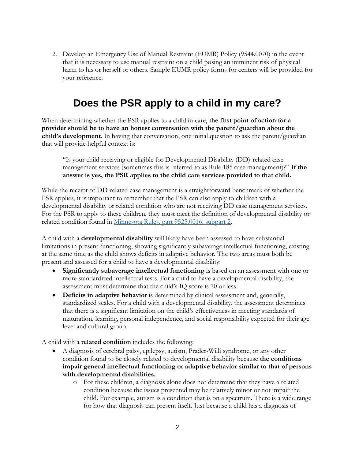2. Develop an Emergency Use of Manual Restraint (EUMR) Policy (9544.0070) in the event that it is necessary to use manual restraint on a child posing an imminent risk of physical harm to his or herself or others. Sample EUMR policy forms for centers will be provided for your reference.

## **Does the PSR apply to a child in my care?**

When determining whether the PSR applies to a child in care, **the first point of action for a provider should be to have an honest conversation with the parent/guardian about the child's development**. In having that conversation, one initial question to ask the parent/guardian that will provide helpful context is:

"Is your child receiving or eligible for Developmental Disability (DD)-related case management services (sometimes this is referred to as Rule 185 case management)?" **If the answer is yes, the PSR applies to the child care services provided to that child.**

While the receipt of DD-related case management is a straightforward benchmark of whether the PSR applies, it is important to remember that the PSR can also apply to children with a developmental disability or related condition who are not receiving DD case management services. For the PSR to apply to these children, they must meet the definition of developmental disability or related condition found in [Minnesota Rules, part](https://www.revisor.mn.gov/rules/?id=9525.0016) 9525.0016, subpart 2.

A child with a **developmental disability** will likely have been assessed to have substantial limitations in present functioning, showing significantly subaverage intellectual functioning, existing at the same time as the child shows deficits in adaptive behavior. The two areas must both be present and assessed for a child to have a developmental disability:

- **Significantly subaverage intellectual functioning** is based on an assessment with one or more standardized intellectual tests. For a child to have a developmental disability, the assessment must determine that the child's IQ score is 70 or less.
- **Deficits in adaptive behavior** is determined by clinical assessment and, generally, standardized scales. For a child with a developmental disability, the assessment determines that there is a significant limitation on the child's effectiveness in meeting standards of maturation, learning, personal independence, and social responsibility expected for their age level and cultural group.

A child with a **related condition** includes the following:

- A diagnosis of cerebral palsy, epilepsy, autism, Prader-Willi syndrome, or any other condition found to be closely related to developmental disability because **the conditions impair general intellectual functioning or adaptive behavior similar to that of persons with developmental disabilities.**
	- o For these children, a diagnosis alone does not determine that they have a related condition because the issues presented may be relatively minor or not impair the child. For example, autism is a condition that is on a spectrum. There is a wide range for how that diagnosis can present itself. Just because a child has a diagnosis of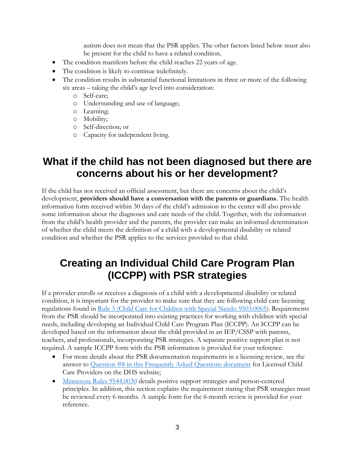autism does not mean that the PSR applies. The other factors listed below must also be present for the child to have a related condition.

- The condition manifests before the child reaches 22 years of age.
- The condition is likely to continue indefinitely.
- The condition results in substantial functional limitations in three or more of the following six areas – taking the child's age level into consideration:
	- o Self-care;
	- o Understanding and use of language;
	- o Learning;
	- o Mobility;
	- o Self-direction; or
	- o Capacity for independent living.

#### **What if the child has not been diagnosed but there are concerns about his or her development?**

If the child has not received an official assessment, but there are concerns about the child's development, **providers should have a conversation with the parents or guardians**. The health information form received within 30 days of the child's admission to the center will also provide some information about the diagnoses and care needs of the child. Together, with the information from the child's health provider and the parents, the provider can make an informed determination of whether the child meets the definition of a child with a developmental disability or related condition and whether the PSR applies to the services provided to that child.

## **Creating an Individual Child Care Program Plan (ICCPP) with PSR strategies**

If a provider enrolls or receives a diagnosis of a child with a developmental disability or related condition, it is important for the provider to make sure that they are following child care licensing regulations found in [Rule 3 \(Child Care for Children with Special Needs: 9503.0065\)](https://www.revisor.mn.gov/rules/?id=9503.0065). Requirements from the PSR should be incorporated into existing practices for working with children with special needs, including developing an Individual Child Care Program Plan (ICCPP). An ICCPP can be developed based on the information about the child provided in an IEP/CSSP with parents, teachers, and professionals, incorporating PSR strategies. A separate positive support plan is not required. A sample ICCPP form with the PSR information is provided for your reference.

- For more details about the PSR documentation requirements in a licensing review, see the answer to [Question #8 in this Frequently Asked Questions document](https://content.govdelivery.com/accounts/MNDHS/bulletins/1433ed9) for Licensed Child Care Providers on the DHS website;
- [Minnesota Rules 9544.0030](https://www.revisor.mn.gov/rules/?id=9544.0030) details positive support strategies and person-centered principles. In addition, this section explains the requirement stating that PSR strategies must be reviewed every 6 months. A sample form for the 6-month review is provided for your reference.